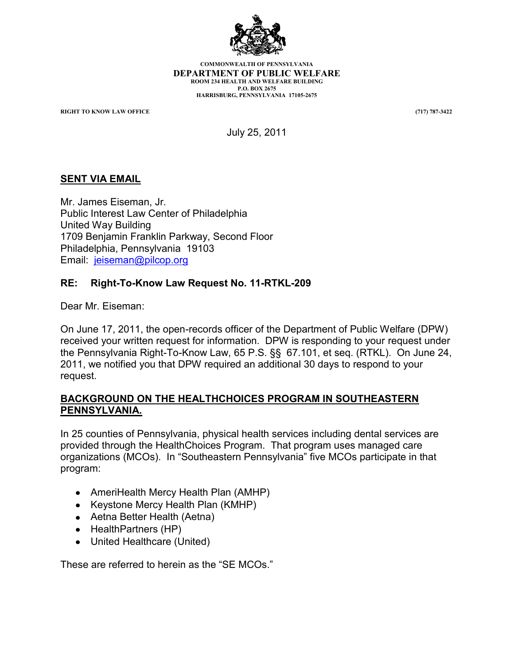

**COMMONWEALTH OF PENNSYLVANIA DEPARTMENT OF PUBLIC WELFARE ROOM 234 HEALTH AND WELFARE BUILDING P.O. BOX 2675 HARRISBURG, PENNSYLVANIA 17105-2675**

**RIGHT TO KNOW LAW OFFICE (717) 787-3422**

July 25, 2011

#### **SENT VIA EMAIL**

Mr. James Eiseman, Jr. Public Interest Law Center of Philadelphia United Way Building 1709 Benjamin Franklin Parkway, Second Floor Philadelphia, Pennsylvania 19103 Email: [jeiseman@pilcop.org](mailto:jeiseman@pilcop.org)

#### **RE: Right-To-Know Law Request No. 11-RTKL-209**

Dear Mr. Eiseman:

On June 17, 2011, the open-records officer of the Department of Public Welfare (DPW) received your written request for information. DPW is responding to your request under the Pennsylvania Right-To-Know Law, 65 P.S. §§ 67.101, et seq. (RTKL). On June 24, 2011, we notified you that DPW required an additional 30 days to respond to your request.

#### **BACKGROUND ON THE HEALTHCHOICES PROGRAM IN SOUTHEASTERN PENNSYLVANIA.**

In 25 counties of Pennsylvania, physical health services including dental services are provided through the HealthChoices Program. That program uses managed care organizations (MCOs). In "Southeastern Pennsylvania" five MCOs participate in that program:

- AmeriHealth Mercy Health Plan (AMHP)
- Keystone Mercy Health Plan (KMHP)
- Aetna Better Health (Aetna)
- $\bullet$  Health Partners (HP)
- United Healthcare (United)

These are referred to herein as the "SE MCOs."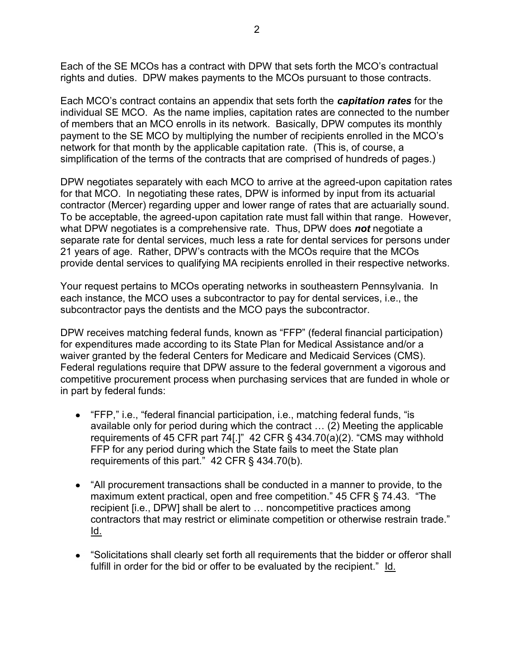Each of the SE MCOs has a contract with DPW that sets forth the MCO"s contractual rights and duties. DPW makes payments to the MCOs pursuant to those contracts.

Each MCO"s contract contains an appendix that sets forth the *capitation rates* for the individual SE MCO. As the name implies, capitation rates are connected to the number of members that an MCO enrolls in its network. Basically, DPW computes its monthly payment to the SE MCO by multiplying the number of recipients enrolled in the MCO"s network for that month by the applicable capitation rate. (This is, of course, a simplification of the terms of the contracts that are comprised of hundreds of pages.)

DPW negotiates separately with each MCO to arrive at the agreed-upon capitation rates for that MCO. In negotiating these rates, DPW is informed by input from its actuarial contractor (Mercer) regarding upper and lower range of rates that are actuarially sound. To be acceptable, the agreed-upon capitation rate must fall within that range. However, what DPW negotiates is a comprehensive rate. Thus, DPW does *not* negotiate a separate rate for dental services, much less a rate for dental services for persons under 21 years of age. Rather, DPW"s contracts with the MCOs require that the MCOs provide dental services to qualifying MA recipients enrolled in their respective networks.

Your request pertains to MCOs operating networks in southeastern Pennsylvania. In each instance, the MCO uses a subcontractor to pay for dental services, i.e., the subcontractor pays the dentists and the MCO pays the subcontractor.

DPW receives matching federal funds, known as "FFP" (federal financial participation) for expenditures made according to its State Plan for Medical Assistance and/or a waiver granted by the federal Centers for Medicare and Medicaid Services (CMS). Federal regulations require that DPW assure to the federal government a vigorous and competitive procurement process when purchasing services that are funded in whole or in part by federal funds:

- "FFP," i.e., "federal financial participation, i.e., matching federal funds, "is available only for period during which the contract … (2) Meeting the applicable requirements of 45 CFR part 74[.]" 42 CFR § 434.70(a)(2). "CMS may withhold FFP for any period during which the State fails to meet the State plan requirements of this part." 42 CFR § 434.70(b).
- "All procurement transactions shall be conducted in a manner to provide, to the maximum extent practical, open and free competition." 45 CFR § 74.43. "The recipient [i.e., DPW] shall be alert to … noncompetitive practices among contractors that may restrict or eliminate competition or otherwise restrain trade." Id.
- "Solicitations shall clearly set forth all requirements that the bidder or offeror shall fulfill in order for the bid or offer to be evaluated by the recipient." Id.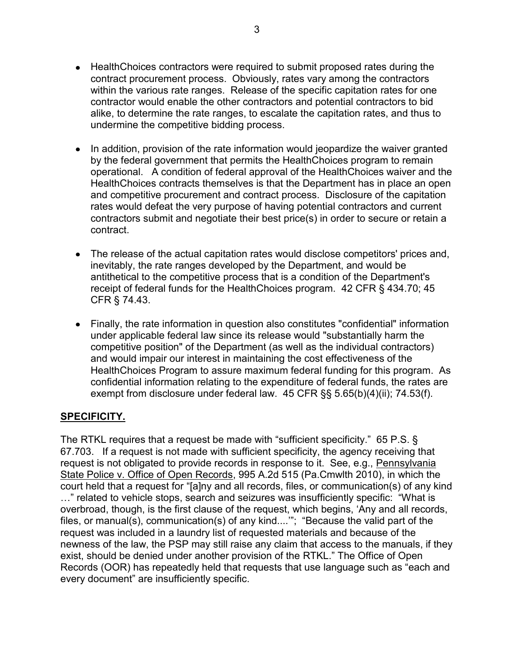- HealthChoices contractors were required to submit proposed rates during the contract procurement process. Obviously, rates vary among the contractors within the various rate ranges. Release of the specific capitation rates for one contractor would enable the other contractors and potential contractors to bid alike, to determine the rate ranges, to escalate the capitation rates, and thus to undermine the competitive bidding process.
- In addition, provision of the rate information would jeopardize the waiver granted by the federal government that permits the HealthChoices program to remain operational. A condition of federal approval of the HealthChoices waiver and the HealthChoices contracts themselves is that the Department has in place an open and competitive procurement and contract process. Disclosure of the capitation rates would defeat the very purpose of having potential contractors and current contractors submit and negotiate their best price(s) in order to secure or retain a contract.
- The release of the actual capitation rates would disclose competitors' prices and, inevitably, the rate ranges developed by the Department, and would be antithetical to the competitive process that is a condition of the Department's receipt of federal funds for the HealthChoices program. 42 CFR § 434.70; 45 CFR § 74.43.
- Finally, the rate information in question also constitutes "confidential" information under applicable federal law since its release would "substantially harm the competitive position" of the Department (as well as the individual contractors) and would impair our interest in maintaining the cost effectiveness of the HealthChoices Program to assure maximum federal funding for this program. As confidential information relating to the expenditure of federal funds, the rates are exempt from disclosure under federal law. 45 CFR §§ 5.65(b)(4)(ii); 74.53(f).

### **SPECIFICITY.**

The RTKL requires that a request be made with "sufficient specificity." 65 P.S. § 67.703. If a request is not made with sufficient specificity, the agency receiving that request is not obligated to provide records in response to it. See, e.g., Pennsylvania State Police v. Office of Open Records, 995 A.2d 515 (Pa.Cmwlth 2010), in which the court held that a request for "[a]ny and all records, files, or communication(s) of any kind …" related to vehicle stops, search and seizures was insufficiently specific: "What is overbroad, though, is the first clause of the request, which begins, "Any and all records, files, or manual(s), communication(s) of any kind....""; "Because the valid part of the request was included in a laundry list of requested materials and because of the newness of the law, the PSP may still raise any claim that access to the manuals, if they exist, should be denied under another provision of the RTKL." The Office of Open Records (OOR) has repeatedly held that requests that use language such as "each and every document" are insufficiently specific.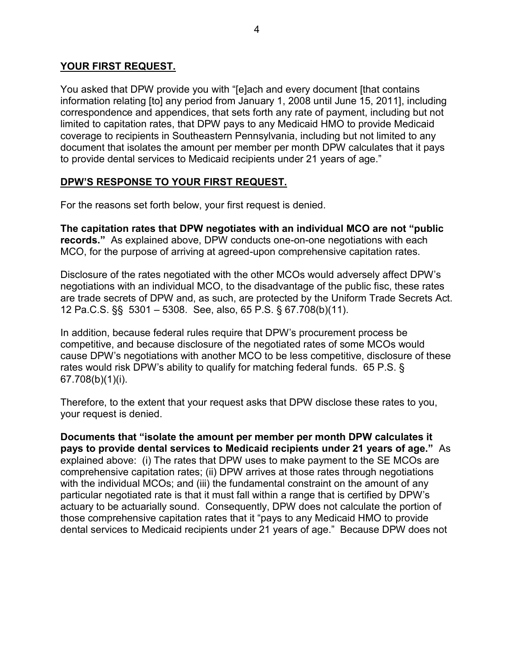#### **YOUR FIRST REQUEST.**

You asked that DPW provide you with "[e]ach and every document [that contains information relating [to] any period from January 1, 2008 until June 15, 2011], including correspondence and appendices, that sets forth any rate of payment, including but not limited to capitation rates, that DPW pays to any Medicaid HMO to provide Medicaid coverage to recipients in Southeastern Pennsylvania, including but not limited to any document that isolates the amount per member per month DPW calculates that it pays to provide dental services to Medicaid recipients under 21 years of age."

#### **DPW'S RESPONSE TO YOUR FIRST REQUEST.**

For the reasons set forth below, your first request is denied.

**The capitation rates that DPW negotiates with an individual MCO are not "public records."** As explained above, DPW conducts one-on-one negotiations with each MCO, for the purpose of arriving at agreed-upon comprehensive capitation rates.

Disclosure of the rates negotiated with the other MCOs would adversely affect DPW"s negotiations with an individual MCO, to the disadvantage of the public fisc, these rates are trade secrets of DPW and, as such, are protected by the Uniform Trade Secrets Act. 12 Pa.C.S. §§ 5301 – 5308. See, also, 65 P.S. § 67.708(b)(11).

In addition, because federal rules require that DPW"s procurement process be competitive, and because disclosure of the negotiated rates of some MCOs would cause DPW"s negotiations with another MCO to be less competitive, disclosure of these rates would risk DPW's ability to qualify for matching federal funds. 65 P.S. § 67.708(b)(1)(i).

Therefore, to the extent that your request asks that DPW disclose these rates to you, your request is denied.

**Documents that "isolate the amount per member per month DPW calculates it pays to provide dental services to Medicaid recipients under 21 years of age."** As explained above: (i) The rates that DPW uses to make payment to the SE MCOs are comprehensive capitation rates; (ii) DPW arrives at those rates through negotiations with the individual MCOs; and (iii) the fundamental constraint on the amount of any particular negotiated rate is that it must fall within a range that is certified by DPW"s actuary to be actuarially sound. Consequently, DPW does not calculate the portion of those comprehensive capitation rates that it "pays to any Medicaid HMO to provide dental services to Medicaid recipients under 21 years of age." Because DPW does not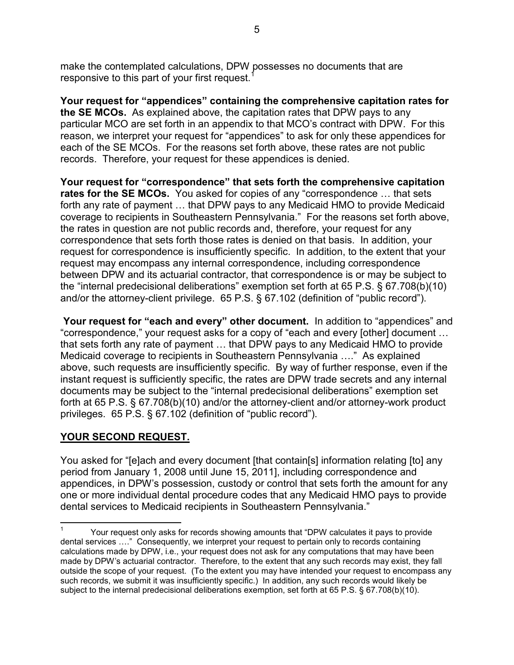make the contemplated calculations, DPW possesses no documents that are responsive to this part of your first request.<sup>1</sup>

**Your request for "appendices" containing the comprehensive capitation rates for the SE MCOs.** As explained above, the capitation rates that DPW pays to any particular MCO are set forth in an appendix to that MCO"s contract with DPW. For this reason, we interpret your request for "appendices" to ask for only these appendices for each of the SE MCOs. For the reasons set forth above, these rates are not public records. Therefore, your request for these appendices is denied.

**Your request for "correspondence" that sets forth the comprehensive capitation rates for the SE MCOs.** You asked for copies of any "correspondence … that sets forth any rate of payment … that DPW pays to any Medicaid HMO to provide Medicaid coverage to recipients in Southeastern Pennsylvania." For the reasons set forth above, the rates in question are not public records and, therefore, your request for any correspondence that sets forth those rates is denied on that basis. In addition, your request for correspondence is insufficiently specific. In addition, to the extent that your request may encompass any internal correspondence, including correspondence between DPW and its actuarial contractor, that correspondence is or may be subject to the "internal predecisional deliberations" exemption set forth at 65 P.S. § 67.708(b)(10) and/or the attorney-client privilege. 65 P.S. § 67.102 (definition of "public record").

**Your request for "each and every" other document.** In addition to "appendices" and "correspondence," your request asks for a copy of "each and every [other] document … that sets forth any rate of payment … that DPW pays to any Medicaid HMO to provide Medicaid coverage to recipients in Southeastern Pennsylvania …." As explained above, such requests are insufficiently specific. By way of further response, even if the instant request is sufficiently specific, the rates are DPW trade secrets and any internal documents may be subject to the "internal predecisional deliberations" exemption set forth at 65 P.S. § 67.708(b)(10) and/or the attorney-client and/or attorney-work product privileges. 65 P.S. § 67.102 (definition of "public record").

### **YOUR SECOND REQUEST.**

 $\overline{a}$ 

You asked for "[e]ach and every document [that contain[s] information relating [to] any period from January 1, 2008 until June 15, 2011], including correspondence and appendices, in DPW"s possession, custody or control that sets forth the amount for any one or more individual dental procedure codes that any Medicaid HMO pays to provide dental services to Medicaid recipients in Southeastern Pennsylvania."

<sup>1</sup> Your request only asks for records showing amounts that "DPW calculates it pays to provide dental services …." Consequently, we interpret your request to pertain only to records containing calculations made by DPW, i.e., your request does not ask for any computations that may have been made by DPW"s actuarial contractor. Therefore, to the extent that any such records may exist, they fall outside the scope of your request. (To the extent you may have intended your request to encompass any such records, we submit it was insufficiently specific.) In addition, any such records would likely be subject to the internal predecisional deliberations exemption, set forth at 65 P.S. § 67.708(b)(10).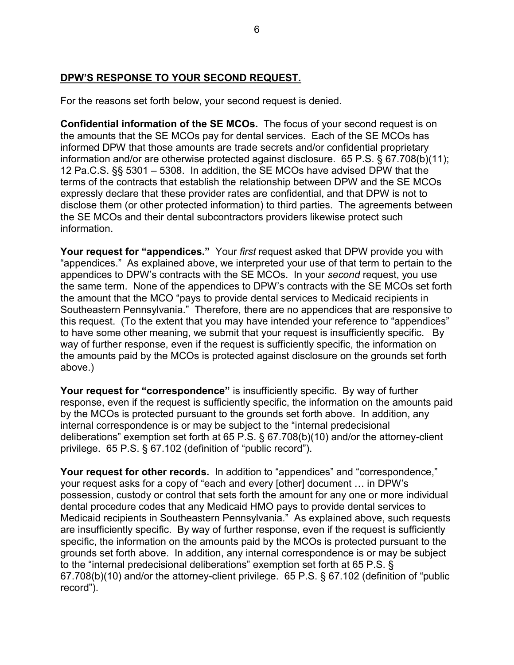## **DPW'S RESPONSE TO YOUR SECOND REQUEST.**

For the reasons set forth below, your second request is denied.

**Confidential information of the SE MCOs.** The focus of your second request is on the amounts that the SE MCOs pay for dental services. Each of the SE MCOs has informed DPW that those amounts are trade secrets and/or confidential proprietary information and/or are otherwise protected against disclosure. 65 P.S. § 67.708(b)(11); 12 Pa.C.S. §§ 5301 – 5308. In addition, the SE MCOs have advised DPW that the terms of the contracts that establish the relationship between DPW and the SE MCOs expressly declare that these provider rates are confidential, and that DPW is not to disclose them (or other protected information) to third parties. The agreements between the SE MCOs and their dental subcontractors providers likewise protect such information.

**Your request for "appendices."** Your *first* request asked that DPW provide you with "appendices." As explained above, we interpreted your use of that term to pertain to the appendices to DPW"s contracts with the SE MCOs. In your *second* request, you use the same term. None of the appendices to DPW"s contracts with the SE MCOs set forth the amount that the MCO "pays to provide dental services to Medicaid recipients in Southeastern Pennsylvania." Therefore, there are no appendices that are responsive to this request. (To the extent that you may have intended your reference to "appendices" to have some other meaning, we submit that your request is insufficiently specific. By way of further response, even if the request is sufficiently specific, the information on the amounts paid by the MCOs is protected against disclosure on the grounds set forth above.)

**Your request for "correspondence"** is insufficiently specific. By way of further response, even if the request is sufficiently specific, the information on the amounts paid by the MCOs is protected pursuant to the grounds set forth above. In addition, any internal correspondence is or may be subject to the "internal predecisional deliberations" exemption set forth at 65 P.S. § 67.708(b)(10) and/or the attorney-client privilege. 65 P.S. § 67.102 (definition of "public record").

**Your request for other records.** In addition to "appendices" and "correspondence," your request asks for a copy of "each and every [other] document … in DPW"s possession, custody or control that sets forth the amount for any one or more individual dental procedure codes that any Medicaid HMO pays to provide dental services to Medicaid recipients in Southeastern Pennsylvania." As explained above, such requests are insufficiently specific. By way of further response, even if the request is sufficiently specific, the information on the amounts paid by the MCOs is protected pursuant to the grounds set forth above. In addition, any internal correspondence is or may be subject to the "internal predecisional deliberations" exemption set forth at 65 P.S. § 67.708(b)(10) and/or the attorney-client privilege. 65 P.S. § 67.102 (definition of "public record").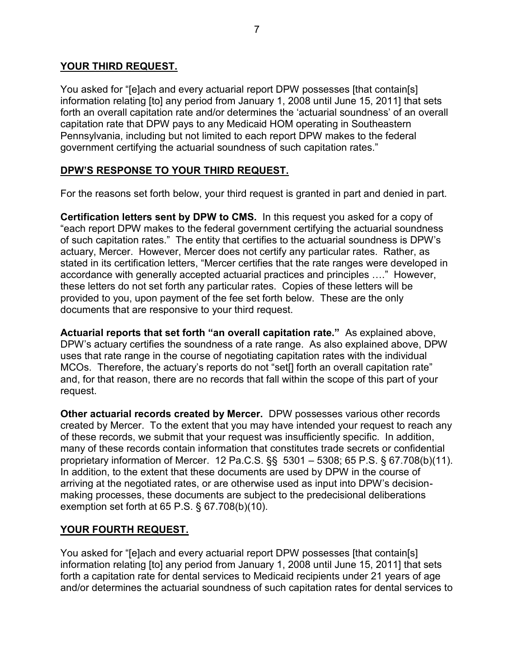#### **YOUR THIRD REQUEST.**

You asked for "[e]ach and every actuarial report DPW possesses [that contain[s] information relating [to] any period from January 1, 2008 until June 15, 2011] that sets forth an overall capitation rate and/or determines the 'actuarial soundness' of an overall capitation rate that DPW pays to any Medicaid HOM operating in Southeastern Pennsylvania, including but not limited to each report DPW makes to the federal government certifying the actuarial soundness of such capitation rates."

### **DPW'S RESPONSE TO YOUR THIRD REQUEST.**

For the reasons set forth below, your third request is granted in part and denied in part.

**Certification letters sent by DPW to CMS.** In this request you asked for a copy of "each report DPW makes to the federal government certifying the actuarial soundness of such capitation rates." The entity that certifies to the actuarial soundness is DPW"s actuary, Mercer. However, Mercer does not certify any particular rates. Rather, as stated in its certification letters, "Mercer certifies that the rate ranges were developed in accordance with generally accepted actuarial practices and principles …." However, these letters do not set forth any particular rates. Copies of these letters will be provided to you, upon payment of the fee set forth below. These are the only documents that are responsive to your third request.

**Actuarial reports that set forth "an overall capitation rate."** As explained above, DPW"s actuary certifies the soundness of a rate range. As also explained above, DPW uses that rate range in the course of negotiating capitation rates with the individual MCOs. Therefore, the actuary's reports do not "set[] forth an overall capitation rate" and, for that reason, there are no records that fall within the scope of this part of your request.

**Other actuarial records created by Mercer.** DPW possesses various other records created by Mercer. To the extent that you may have intended your request to reach any of these records, we submit that your request was insufficiently specific. In addition, many of these records contain information that constitutes trade secrets or confidential proprietary information of Mercer. 12 Pa.C.S. §§ 5301 – 5308; 65 P.S. § 67.708(b)(11). In addition, to the extent that these documents are used by DPW in the course of arriving at the negotiated rates, or are otherwise used as input into DPW"s decisionmaking processes, these documents are subject to the predecisional deliberations exemption set forth at 65 P.S. § 67.708(b)(10).

### **YOUR FOURTH REQUEST.**

You asked for "[e]ach and every actuarial report DPW possesses [that contain[s] information relating [to] any period from January 1, 2008 until June 15, 2011] that sets forth a capitation rate for dental services to Medicaid recipients under 21 years of age and/or determines the actuarial soundness of such capitation rates for dental services to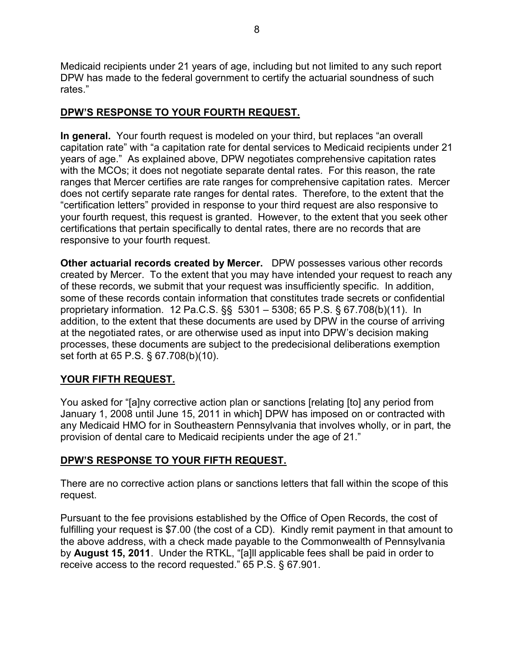Medicaid recipients under 21 years of age, including but not limited to any such report DPW has made to the federal government to certify the actuarial soundness of such rates."

## **DPW'S RESPONSE TO YOUR FOURTH REQUEST.**

**In general.** Your fourth request is modeled on your third, but replaces "an overall capitation rate" with "a capitation rate for dental services to Medicaid recipients under 21 years of age." As explained above, DPW negotiates comprehensive capitation rates with the MCOs; it does not negotiate separate dental rates. For this reason, the rate ranges that Mercer certifies are rate ranges for comprehensive capitation rates. Mercer does not certify separate rate ranges for dental rates. Therefore, to the extent that the "certification letters" provided in response to your third request are also responsive to your fourth request, this request is granted. However, to the extent that you seek other certifications that pertain specifically to dental rates, there are no records that are responsive to your fourth request.

**Other actuarial records created by Mercer.** DPW possesses various other records created by Mercer. To the extent that you may have intended your request to reach any of these records, we submit that your request was insufficiently specific. In addition, some of these records contain information that constitutes trade secrets or confidential proprietary information. 12 Pa.C.S. §§ 5301 – 5308; 65 P.S. § 67.708(b)(11). In addition, to the extent that these documents are used by DPW in the course of arriving at the negotiated rates, or are otherwise used as input into DPW"s decision making processes, these documents are subject to the predecisional deliberations exemption set forth at 65 P.S. § 67.708(b)(10).

# **YOUR FIFTH REQUEST.**

You asked for "[a]ny corrective action plan or sanctions [relating [to] any period from January 1, 2008 until June 15, 2011 in which] DPW has imposed on or contracted with any Medicaid HMO for in Southeastern Pennsylvania that involves wholly, or in part, the provision of dental care to Medicaid recipients under the age of 21."

# **DPW'S RESPONSE TO YOUR FIFTH REQUEST.**

There are no corrective action plans or sanctions letters that fall within the scope of this request.

Pursuant to the fee provisions established by the Office of Open Records, the cost of fulfilling your request is \$7.00 (the cost of a CD). Kindly remit payment in that amount to the above address, with a check made payable to the Commonwealth of Pennsylvania by **August 15, 2011**. Under the RTKL, "[a]ll applicable fees shall be paid in order to receive access to the record requested." 65 P.S. § 67.901.